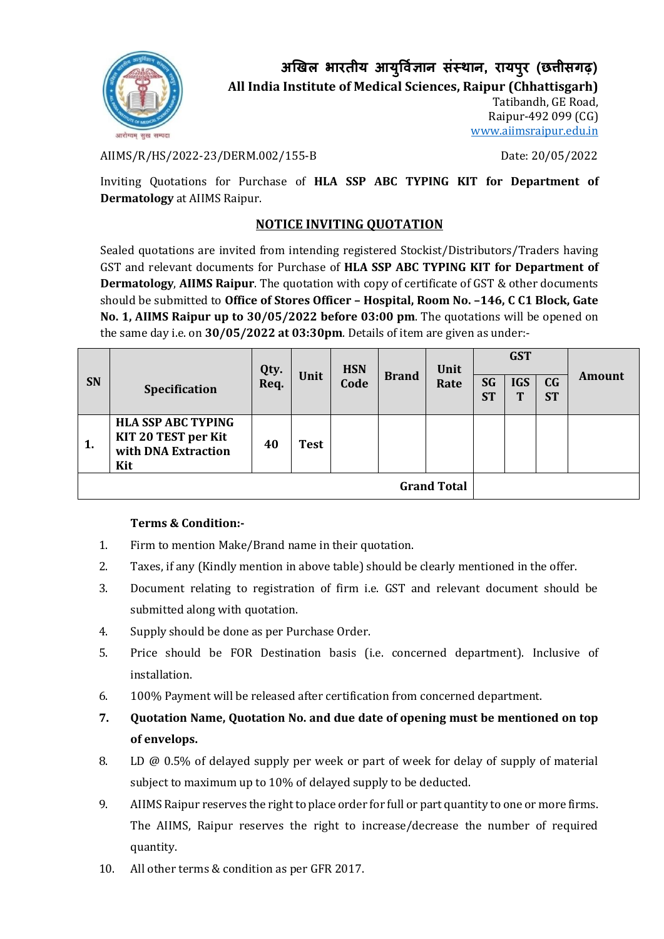

**अखिल भारतीय आय ु र्वज्ञि ान संस्थान, रायप ुर (छत्तीसगढ़)**

**All India Institute of Medical Sciences, Raipur (Chhattisgarh)**

Tatibandh, GE Road, Raipur-492 099 (CG) [www.aiimsraipur.edu.in](http://www.aiimsraipur.edu.in/)

AIIMS/R/HS/2022-23/DERM.002/155-B Date: 20/05/2022

Inviting Quotations for Purchase of **HLA SSP ABC TYPING KIT for Department of Dermatology** at AIIMS Raipur.

## **NOTICE INVITING QUOTATION**

Sealed quotations are invited from intending registered Stockist/Distributors/Traders having GST and relevant documents for Purchase of **HLA SSP ABC TYPING KIT for Department of Dermatology**, **AIIMS Raipur**. The quotation with copy of certificate of GST & other documents should be submitted to **Office of Stores Officer – Hospital, Room No. –146, C C1 Block, Gate No. 1, AIIMS Raipur up to 30/05/2022 before 03:00 pm**. The quotations will be opened on the same day i.e. on **30/05/2022 at 03:30pm**. Details of item are given as under:-

| <b>SN</b>          | <b>Specification</b>                                                           | Qty.<br>Req. | Unit        | <b>HSN</b><br>Code | <b>Brand</b> | Unit<br>Rate | SG<br><b>ST</b> | <b>GST</b><br><b>IGS</b><br>Т | C <sub>G</sub><br><b>ST</b> | <b>Amount</b> |
|--------------------|--------------------------------------------------------------------------------|--------------|-------------|--------------------|--------------|--------------|-----------------|-------------------------------|-----------------------------|---------------|
| 1.                 | <b>HLA SSP ABC TYPING</b><br>KIT 20 TEST per Kit<br>with DNA Extraction<br>Kit | 40           | <b>Test</b> |                    |              |              |                 |                               |                             |               |
| <b>Grand Total</b> |                                                                                |              |             |                    |              |              |                 |                               |                             |               |

## **Terms & Condition:-**

- 1. Firm to mention Make/Brand name in their quotation.
- 2. Taxes, if any (Kindly mention in above table) should be clearly mentioned in the offer.
- 3. Document relating to registration of firm i.e. GST and relevant document should be submitted along with quotation.
- 4. Supply should be done as per Purchase Order.
- 5. Price should be FOR Destination basis (i.e. concerned department). Inclusive of installation.
- 6. 100% Payment will be released after certification from concerned department.
- **7. Quotation Name, Quotation No. and due date of opening must be mentioned on top of envelops.**
- 8. LD @ 0.5% of delayed supply per week or part of week for delay of supply of material subject to maximum up to 10% of delayed supply to be deducted.
- 9. AIIMS Raipur reserves the right to place order for full or part quantity to one or more firms. The AIIMS, Raipur reserves the right to increase/decrease the number of required quantity.
- 10. All other terms & condition as per GFR 2017.